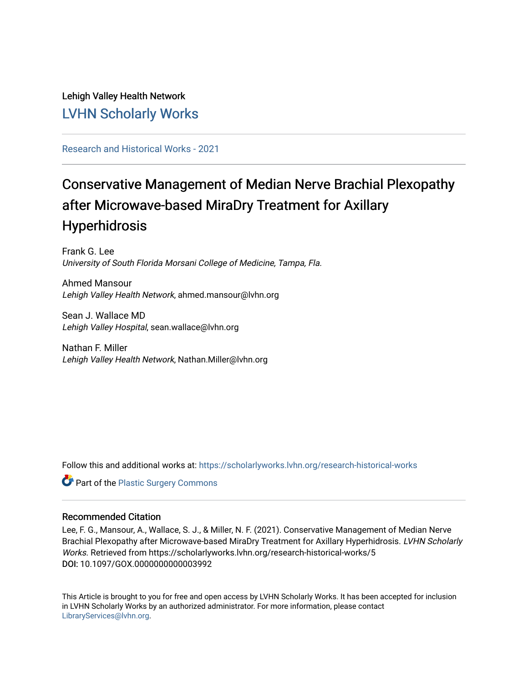# Lehigh Valley Health Network [LVHN Scholarly Works](https://scholarlyworks.lvhn.org/)

[Research and Historical Works - 2021](https://scholarlyworks.lvhn.org/research-historical-works) 

# Conservative Management of Median Nerve Brachial Plexopathy after Microwave-based MiraDry Treatment for Axillary Hyperhidrosis

Frank G. Lee University of South Florida Morsani College of Medicine, Tampa, Fla.

Ahmed Mansour Lehigh Valley Health Network, ahmed.mansour@lvhn.org

Sean J. Wallace MD Lehigh Valley Hospital, sean.wallace@lvhn.org

Nathan F. Miller Lehigh Valley Health Network, Nathan.Miller@lvhn.org

Follow this and additional works at: [https://scholarlyworks.lvhn.org/research-historical-works](https://scholarlyworks.lvhn.org/research-historical-works?utm_source=scholarlyworks.lvhn.org%2Fresearch-historical-works%2F5&utm_medium=PDF&utm_campaign=PDFCoverPages)

Part of the [Plastic Surgery Commons](https://network.bepress.com/hgg/discipline/701?utm_source=scholarlyworks.lvhn.org%2Fresearch-historical-works%2F5&utm_medium=PDF&utm_campaign=PDFCoverPages)

### Recommended Citation

Lee, F. G., Mansour, A., Wallace, S. J., & Miller, N. F. (2021). Conservative Management of Median Nerve Brachial Plexopathy after Microwave-based MiraDry Treatment for Axillary Hyperhidrosis. LVHN Scholarly Works. Retrieved from https://scholarlyworks.lvhn.org/research-historical-works/5 DOI: 10.1097/GOX.0000000000003992

This Article is brought to you for free and open access by LVHN Scholarly Works. It has been accepted for inclusion in LVHN Scholarly Works by an authorized administrator. For more information, please contact [LibraryServices@lvhn.org](mailto:LibraryServices@lvhn.org).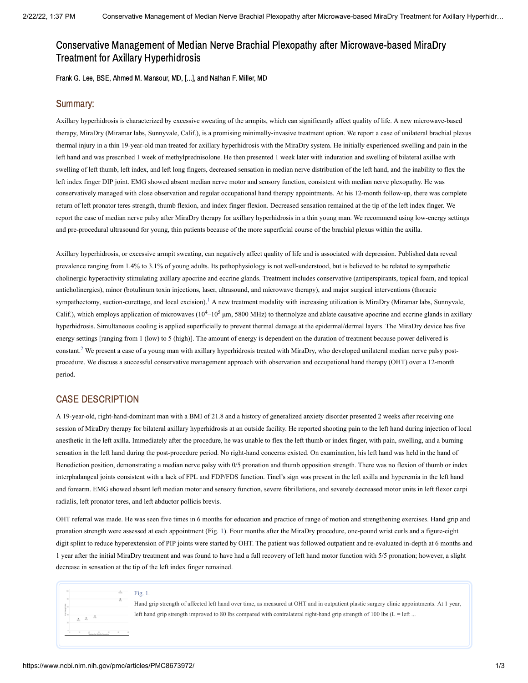## Conservative Management of Median Nerve Brachial Plexopathy after Microwave-based MiraDry Treatment for Axillary Hyperhidrosis

Frank G. Lee, BSE, Ahmed M. Mansour, MD, [...], and Nathan F. Miller, MD

#### Summary:

Axillary hyperhidrosis is characterized by excessive sweating of the armpits, which can significantly affect quality of life. A new microwave-based therapy, MiraDry (Miramar labs, Sunnyvale, Calif.), is a promising minimally-invasive treatment option. We report a case of unilateral brachial plexus thermal injury in a thin 19-year-old man treated for axillary hyperhidrosis with the MiraDry system. He initially experienced swelling and pain in the left hand and was prescribed 1 week of methylprednisolone. He then presented 1 week later with induration and swelling of bilateral axillae with swelling of left thumb, left index, and left long fingers, decreased sensation in median nerve distribution of the left hand, and the inability to flex the left index finger DIP joint. EMG showed absent median nerve motor and sensory function, consistent with median nerve plexopathy. He was conservatively managed with close observation and regular occupational hand therapy appointments. At his 12-month follow-up, there was complete return of left pronator teres strength, thumb flexion, and index finger flexion. Decreased sensation remained at the tip of the left index finger. We report the case of median nerve palsy after MiraDry therapy for axillary hyperhidrosis in a thin young man. We recommend using low-energy settings and pre-procedural ultrasound for young, thin patients because of the more superficial course of the brachial plexus within the axilla.

Axillary hyperhidrosis, or excessive armpit sweating, can negatively affect quality of life and is associated with depression. Published data reveal prevalence ranging from 1.4% to 3.1% of young adults. Its pathophysiology is not well-understood, but is believed to be related to sympathetic cholinergic hyperactivity stimulating axillary apocrine and eccrine glands. Treatment includes conservative (antiperspirants, topical foam, and topical anticholinergics), minor (botulinum toxin injections, laser, ultrasound, and microwave therapy), and major surgical interventions (thoracic sympathectomy, suction-curettage, and local excision).<sup>[1](#page-3-0)</sup> A new treatment modality with increasing utilization is MiraDry (Miramar labs, Sunnyvale, Calif.), which employs application of microwaves  $(10^4 - 10^5 \,\text{\mu m}$ , 5800 MHz) to thermolyze and ablate causative apocrine and eccrine glands in axillary hyperhidrosis. Simultaneous cooling is applied superficially to prevent thermal damage at the epidermal/dermal layers. The MiraDry device has five energy settings [ranging from 1 (low) to 5 (high)]. The amount of energy is dependent on the duration of treatment because power delivered is constant.<sup>[2](#page-3-1)</sup> We present a case of a young man with axillary hyperhidrosis treated with MiraDry, who developed unilateral median nerve palsy postprocedure. We discuss a successful conservative management approach with observation and occupational hand therapy (OHT) over a 12-month period.

#### CASE DESCRIPTION

A 19-year-old, right-hand-dominant man with a BMI of 21.8 and a history of generalized anxiety disorder presented 2 weeks after receiving one session of MiraDry therapy for bilateral axillary hyperhidrosis at an outside facility. He reported shooting pain to the left hand during injection of local anesthetic in the left axilla. Immediately after the procedure, he was unable to flex the left thumb or index finger, with pain, swelling, and a burning sensation in the left hand during the post-procedure period. No right-hand concerns existed. On examination, his left hand was held in the hand of Benediction position, demonstrating a median nerve palsy with 0/5 pronation and thumb opposition strength. There was no flexion of thumb or index interphalangeal joints consistent with a lack of FPL and FDP/FDS function. Tinel's sign was present in the left axilla and hyperemia in the left hand and forearm. EMG showed absent left median motor and sensory function, severe fibrillations, and severely decreased motor units in left flexor carpi radialis, left pronator teres, and left abductor pollicis brevis.

OHT referral was made. He was seen five times in 6 months for education and practice of range of motion and strengthening exercises. Hand grip and pronation strength were assessed at each appointment [\(Fig.](https://www.ncbi.nlm.nih.gov/pmc/articles/PMC8673972/figure/F1/?report=objectonly) 1). Four months after the MiraDry procedure, one-pound wrist curls and a figure-eight digit splint to reduce hyperextension of PIP joints were started by OHT. The patient was followed outpatient and re-evaluated in-depth at 6 months and 1 year after the initial MiraDry treatment and was found to have had a full recovery of left hand motor function with 5/5 pronation; however, a slight decrease in sensation at the tip of the left index finger remained.

|  |    |                   | <b>STAR</b> |  |
|--|----|-------------------|-------------|--|
|  |    |                   |             |  |
|  |    |                   |             |  |
|  |    |                   |             |  |
|  | ÷. | ă,                |             |  |
|  |    |                   |             |  |
|  |    | <b>Contractor</b> |             |  |

Hand grip strength of affected left hand over time, as measured at OHT and in outpatient plastic surgery clinic appointments. At 1 year, left hand grip strength improved to 80 lbs compared with contralateral right-hand grip strength of 100 lbs ( $L =$  left ...

[Fig.](https://www.ncbi.nlm.nih.gov/pmc/articles/PMC8673972/figure/F1/?report=objectonly) 1.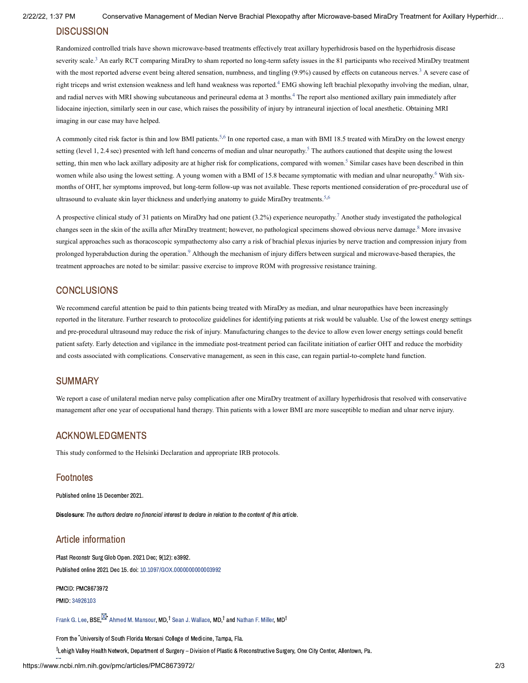#### **DISCUSSION**

Randomized controlled trials have shown microwave-based treatments effectively treat axillary hyperhidrosis based on the hyperhidrosis disease severity scale.<sup>[3](#page-3-2)</sup> An early RCT comparing MiraDry to sham reported no long-term safety issues in the 81 participants who received MiraDry treatment with the most reported adverse event being altered sensation, numbness, and tingling  $(9.9%)$  caused by effects on cutaneous nerves.<sup>[3](#page-3-2)</sup> A severe case of right triceps and wrist extension weakness and left hand weakness was reported.<sup>[4](#page-3-3)</sup> EMG showing left brachial plexopathy involving the median, ulnar, and radial nerves with MRI showing subcutaneous and perineural edema at 3 months.<sup>[4](#page-3-3)</sup> The report also mentioned axillary pain immediately after lidocaine injection, similarly seen in our case, which raises the possibility of injury by intraneural injection of local anesthetic. Obtaining MRI imaging in our case may have helped.

A commonly cited risk factor is thin and low BMI patients.<sup>[5,](#page-3-4)[6](#page-3-5)</sup> In one reported case, a man with BMI 18.5 treated with MiraDry on the lowest energy setting (level 1, 2.4 sec) presented with left hand concerns of median and ulnar neuropathy.<sup>[5](#page-3-4)</sup> The authors cautioned that despite using the lowest setting, thin men who lack axillary adiposity are at higher risk for complications, compared with women.<sup>[5](#page-3-4)</sup> Similar cases have been described in thin women while also using the lowest setting. A young women with a BMI of 15.8 became symptomatic with median and ulnar neuropathy.<sup>[6](#page-3-5)</sup> With sixmonths of OHT, her symptoms improved, but long-term follow-up was not available. These reports mentioned consideration of pre-procedural use of ultrasound to evaluate skin layer thickness and underlying anatomy to guide MiraDry treatments.<sup>[5](#page-3-4)[,6](#page-3-5)</sup>

A prospective clinical study of 31 patients on MiraDry had one patient (3.2%) experience neuropathy.<sup>[7](#page-3-6)</sup> Another study investigated the pathological changes seen in the skin of the axilla after MiraDry treatment; however, no pathological specimens showed obvious nerve damage.<sup>[8](#page-3-7)</sup> More invasive surgical approaches such as thoracoscopic sympathectomy also carry a risk of brachial plexus injuries by nerve traction and compression injury from prolonged hyperabduction during the operation.<sup>[9](#page-3-8)</sup> Although the mechanism of injury differs between surgical and microwave-based therapies, the treatment approaches are noted to be similar: passive exercise to improve ROM with progressive resistance training.

#### **CONCLUSIONS**

We recommend careful attention be paid to thin patients being treated with MiraDry as median, and ulnar neuropathies have been increasingly reported in the literature. Further research to protocolize guidelines for identifying patients at risk would be valuable. Use of the lowest energy settings and pre-procedural ultrasound may reduce the risk of injury. Manufacturing changes to the device to allow even lower energy settings could benefit patient safety. Early detection and vigilance in the immediate post-treatment period can facilitate initiation of earlier OHT and reduce the morbidity and costs associated with complications. Conservative management, as seen in this case, can regain partial-to-complete hand function.

#### **SUMMARY**

We report a case of unilateral median nerve palsy complication after one MiraDry treatment of axillary hyperhidrosis that resolved with conservative management after one year of occupational hand therapy. Thin patients with a lower BMI are more susceptible to median and ulnar nerve injury.

#### ACKNOWLEDGMENTS

This study conformed to the Helsinki Declaration and appropriate IRB protocols.

#### **Footnotes**

Published online 15 December 2021.

Disclosure: The authors declare no financial interest to declare in relation to the content of this article.

#### Article information

Plast Reconstr Surg Glob Open. 2021 Dec; 9(12): e3992. Published online 2021 Dec 15. doi: [10.1097/GOX.0000000000003992](https://dx.doi.org/10.1097%2FGOX.0000000000003992)

PMCID: PMC8673972

PMID: [34926103](https://www.ncbi.nlm.nih.gov/pubmed/34926103)

[Frank](https://www.ncbi.nlm.nih.gov/pubmed/?term=Lee%20FG%5BAuthor%5D&cauthor=true&cauthor_uid=34926103) G. Lee,  $\mathsf{BSE}^\mathbf{\boxtimes \star}$  Ahmed M. [Mansour](https://www.ncbi.nlm.nih.gov/pubmed/?term=Mansour%20AM%5BAuthor%5D&cauthor=true&cauthor_uid=34926103), MD,<sup>†</sup> Sean J. [Wallace,](https://www.ncbi.nlm.nih.gov/pubmed/?term=Wallace%20SJ%5BAuthor%5D&cauthor=true&cauthor_uid=34926103) MD,<sup>†</sup> and [Nathan](https://www.ncbi.nlm.nih.gov/pubmed/?term=Miller%20NF%5BAuthor%5D&cauthor=true&cauthor_uid=34926103) F. Miller, MD<sup>†</sup>

From the 'University of South Florida Morsani College of Medicine, Tampa, Fla.

<sup>†</sup>Lehigh Valley Health Network, Department of Surgery – Division of Plastic & Reconstructive Surgery, One City Center, Allentown, Pa.